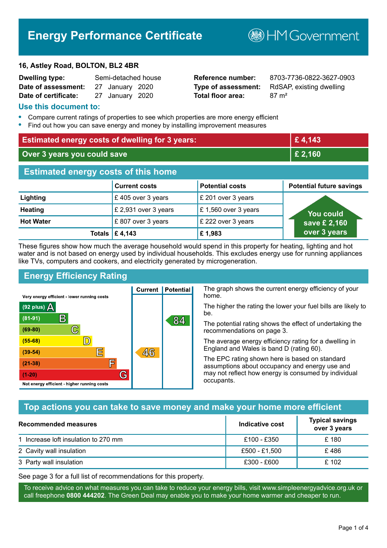# **Energy Performance Certificate**

#### **16, Astley Road, BOLTON, BL2 4BR**

| <b>Dwelling type:</b> | Semi-detached house |  |
|-----------------------|---------------------|--|
| Date of assessment:   | 27 January 2020     |  |
| Date of certificate:  | 27 January 2020     |  |

# **Total floor area:** 87 m<sup>2</sup>

**Reference number:** 8703-7736-0822-3627-0903 **Type of assessment:** RdSAP, existing dwelling

**B**HM Government

#### **Use this document to:**

- **•** Compare current ratings of properties to see which properties are more energy efficient
- **•** Find out how you can save energy and money by installing improvement measures

| <b>Estimated energy costs of dwelling for 3 years:</b> |                           |                        | £4,143                          |
|--------------------------------------------------------|---------------------------|------------------------|---------------------------------|
| Over 3 years you could save                            |                           | £ 2,160                |                                 |
| <b>Estimated energy costs of this home</b>             |                           |                        |                                 |
|                                                        | <b>Current costs</b>      | <b>Potential costs</b> | <b>Potential future savings</b> |
| Lighting                                               | £405 over 3 years         | £ 201 over 3 years     |                                 |
| <b>Heating</b>                                         | £ 2,931 over 3 years      | £1,560 over 3 years    | You could                       |
| <b>Hot Water</b>                                       | £807 over 3 years         | £ 222 over 3 years     | save £ 2,160                    |
|                                                        | Totals $\mathsf{E}$ 4,143 | £1,983                 | over 3 years                    |

These figures show how much the average household would spend in this property for heating, lighting and hot water and is not based on energy used by individual households. This excludes energy use for running appliances like TVs, computers and cookers, and electricity generated by microgeneration.

**Current | Potential** 

 $46$ 

# **Energy Efficiency Rating**

 $\mathbb{C}$ 

 $\mathbb{D}$ 

E

庐

G

Very energy efficient - lower running costs

R

Not energy efficient - higher running costs

(92 plus)  $\Delta$ 

 $(81 - 91)$ 

 $(69 - 80)$ 

 $(55-68)$ 

 $(39 - 54)$ 

 $(21-38)$ 

 $(1-20)$ 

The graph shows the current energy efficiency of your home.

The higher the rating the lower your fuel bills are likely to be.

The potential rating shows the effect of undertaking the recommendations on page 3.

The average energy efficiency rating for a dwelling in England and Wales is band D (rating 60).

The EPC rating shown here is based on standard assumptions about occupancy and energy use and may not reflect how energy is consumed by individual occupants.

# **Top actions you can take to save money and make your home more efficient**

84

| <b>Recommended measures</b>          | Indicative cost | <b>Typical savings</b><br>over 3 years |
|--------------------------------------|-----------------|----------------------------------------|
| 1 Increase loft insulation to 270 mm | £100 - £350     | £ 180                                  |
| 2 Cavity wall insulation             | £500 - £1,500   | £486                                   |
| 3 Party wall insulation              | £300 - £600     | £ 102                                  |

See page 3 for a full list of recommendations for this property.

To receive advice on what measures you can take to reduce your energy bills, visit www.simpleenergyadvice.org.uk or call freephone **0800 444202**. The Green Deal may enable you to make your home warmer and cheaper to run.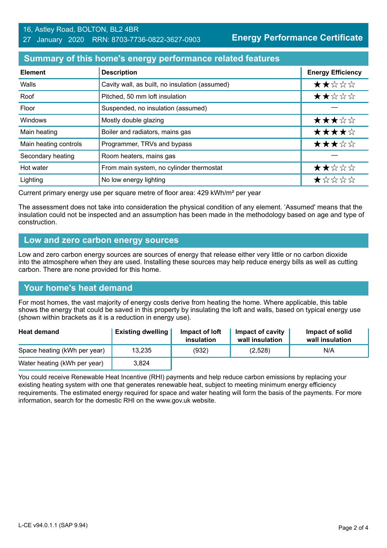# **Summary of this home's energy performance related features**

| <b>Element</b>        | <b>Description</b>                             | <b>Energy Efficiency</b> |
|-----------------------|------------------------------------------------|--------------------------|
| Walls                 | Cavity wall, as built, no insulation (assumed) | ★★☆☆☆                    |
| Roof                  | Pitched, 50 mm loft insulation                 | ★★☆☆☆                    |
| Floor                 | Suspended, no insulation (assumed)             |                          |
| Windows               | Mostly double glazing                          | ★★★☆☆                    |
| Main heating          | Boiler and radiators, mains gas                | ★★★★☆                    |
| Main heating controls | Programmer, TRVs and bypass                    | ★★★☆☆                    |
| Secondary heating     | Room heaters, mains gas                        |                          |
| Hot water             | From main system, no cylinder thermostat       | ★★☆☆☆                    |
| Lighting              | No low energy lighting                         | ★☆☆☆☆                    |

Current primary energy use per square metre of floor area: 429 kWh/m² per year

The assessment does not take into consideration the physical condition of any element. 'Assumed' means that the insulation could not be inspected and an assumption has been made in the methodology based on age and type of construction.

### **Low and zero carbon energy sources**

Low and zero carbon energy sources are sources of energy that release either very little or no carbon dioxide into the atmosphere when they are used. Installing these sources may help reduce energy bills as well as cutting carbon. There are none provided for this home.

# **Your home's heat demand**

For most homes, the vast majority of energy costs derive from heating the home. Where applicable, this table shows the energy that could be saved in this property by insulating the loft and walls, based on typical energy use (shown within brackets as it is a reduction in energy use).

| <b>Heat demand</b>           | <b>Existing dwelling</b> | Impact of loft<br>insulation | Impact of cavity<br>wall insulation | Impact of solid<br>wall insulation |
|------------------------------|--------------------------|------------------------------|-------------------------------------|------------------------------------|
| Space heating (kWh per year) | 13,235                   | (932)                        | (2,528)                             | N/A                                |
| Water heating (kWh per year) | 3,824                    |                              |                                     |                                    |

You could receive Renewable Heat Incentive (RHI) payments and help reduce carbon emissions by replacing your existing heating system with one that generates renewable heat, subject to meeting minimum energy efficiency requirements. The estimated energy required for space and water heating will form the basis of the payments. For more information, search for the domestic RHI on the www.gov.uk website.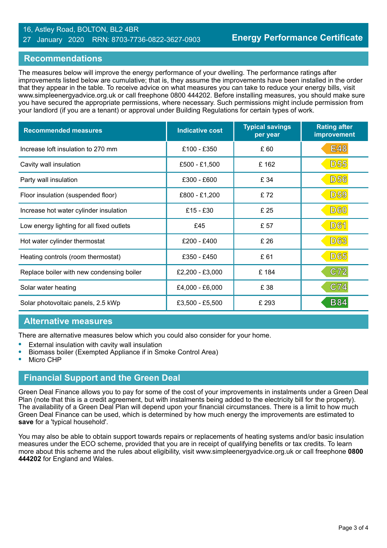#### 16, Astley Road, BOLTON, BL2 4BR 27 January 2020 RRN: 8703-7736-0822-3627-0903

## **Recommendations**

The measures below will improve the energy performance of your dwelling. The performance ratings after improvements listed below are cumulative; that is, they assume the improvements have been installed in the order that they appear in the table. To receive advice on what measures you can take to reduce your energy bills, visit www.simpleenergyadvice.org.uk or call freephone 0800 444202. Before installing measures, you should make sure you have secured the appropriate permissions, where necessary. Such permissions might include permission from your landlord (if you are a tenant) or approval under Building Regulations for certain types of work.

| <b>Recommended measures</b>               | <b>Indicative cost</b> | <b>Typical savings</b><br>per year | <b>Rating after</b><br>improvement |
|-------------------------------------------|------------------------|------------------------------------|------------------------------------|
| Increase loft insulation to 270 mm        | £100 - £350            | £60                                | <b>E48</b>                         |
| Cavity wall insulation                    | £500 - £1,500          | £162                               | <b>D55</b>                         |
| Party wall insulation                     | £300 - £600            | £ 34                               | <b>D56</b>                         |
| Floor insulation (suspended floor)        | £800 - £1,200          | £72                                | <b>D59</b>                         |
| Increase hot water cylinder insulation    | $£15 - £30$            | £ 25                               | <b>D60</b>                         |
| Low energy lighting for all fixed outlets | £45                    | £ 57                               | <b>D61</b>                         |
| Hot water cylinder thermostat             | $£200 - £400$          | £ 26                               | <b>D63</b>                         |
| Heating controls (room thermostat)        | £350 - £450            | £61                                | <b>D65</b>                         |
| Replace boiler with new condensing boiler | £2,200 - £3,000        | £184                               | C72                                |
| Solar water heating                       | £4,000 - £6,000        | £38                                | C74                                |
| Solar photovoltaic panels, 2.5 kWp        | £3,500 - £5,500        | £ 293                              | <b>B84</b>                         |

### **Alternative measures**

There are alternative measures below which you could also consider for your home.

- **•** External insulation with cavity wall insulation
- **•** Biomass boiler (Exempted Appliance if in Smoke Control Area)
- **•** Micro CHP

# **Financial Support and the Green Deal**

Green Deal Finance allows you to pay for some of the cost of your improvements in instalments under a Green Deal Plan (note that this is a credit agreement, but with instalments being added to the electricity bill for the property). The availability of a Green Deal Plan will depend upon your financial circumstances. There is a limit to how much Green Deal Finance can be used, which is determined by how much energy the improvements are estimated to **save** for a 'typical household'.

You may also be able to obtain support towards repairs or replacements of heating systems and/or basic insulation measures under the ECO scheme, provided that you are in receipt of qualifying benefits or tax credits. To learn more about this scheme and the rules about eligibility, visit www.simpleenergyadvice.org.uk or call freephone **0800 444202** for England and Wales.